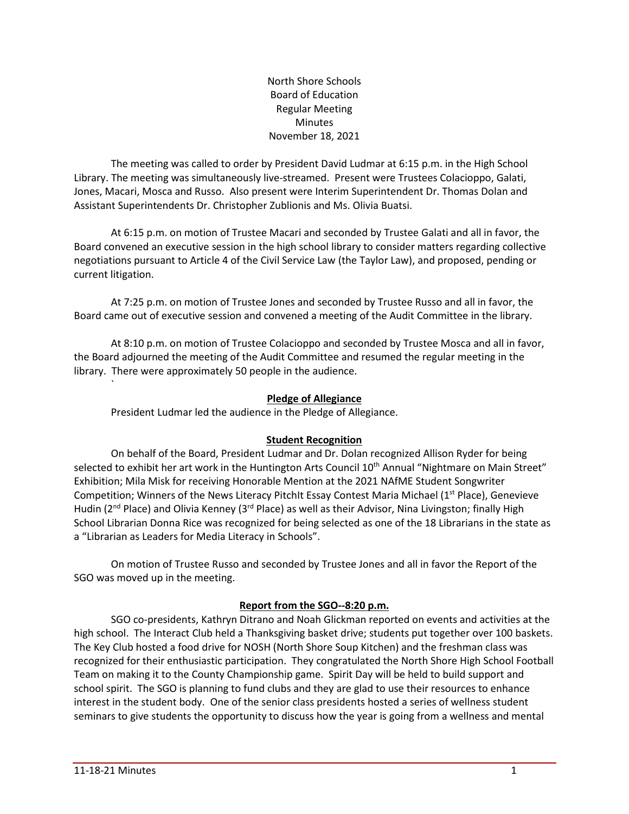North Shore Schools Board of Education Regular Meeting Minutes November 18, 2021

The meeting was called to order by President David Ludmar at 6:15 p.m. in the High School Library. The meeting was simultaneously live-streamed. Present were Trustees Colacioppo, Galati, Jones, Macari, Mosca and Russo. Also present were Interim Superintendent Dr. Thomas Dolan and Assistant Superintendents Dr. Christopher Zublionis and Ms. Olivia Buatsi.

At 6:15 p.m. on motion of Trustee Macari and seconded by Trustee Galati and all in favor, the Board convened an executive session in the high school library to consider matters regarding collective negotiations pursuant to Article 4 of the Civil Service Law (the Taylor Law), and proposed, pending or current litigation.

At 7:25 p.m. on motion of Trustee Jones and seconded by Trustee Russo and all in favor, the Board came out of executive session and convened a meeting of the Audit Committee in the library.

At 8:10 p.m. on motion of Trustee Colacioppo and seconded by Trustee Mosca and all in favor, the Board adjourned the meeting of the Audit Committee and resumed the regular meeting in the library. There were approximately 50 people in the audience.

### **Pledge of Allegiance**

President Ludmar led the audience in the Pledge of Allegiance.

#### **Student Recognition**

On behalf of the Board, President Ludmar and Dr. Dolan recognized Allison Ryder for being selected to exhibit her art work in the Huntington Arts Council 10<sup>th</sup> Annual "Nightmare on Main Street" Exhibition; Mila Misk for receiving Honorable Mention at the 2021 NAfME Student Songwriter Competition; Winners of the News Literacy PitchIt Essay Contest Maria Michael (1<sup>st</sup> Place), Genevieve Hudin (2<sup>nd</sup> Place) and Olivia Kenney (3<sup>rd</sup> Place) as well as their Advisor, Nina Livingston; finally High School Librarian Donna Rice was recognized for being selected as one of the 18 Librarians in the state as a "Librarian as Leaders for Media Literacy in Schools".

On motion of Trustee Russo and seconded by Trustee Jones and all in favor the Report of the SGO was moved up in the meeting.

### **Report from the SGO--8:20 p.m.**

SGO co-presidents, Kathryn Ditrano and Noah Glickman reported on events and activities at the high school. The Interact Club held a Thanksgiving basket drive; students put together over 100 baskets. The Key Club hosted a food drive for NOSH (North Shore Soup Kitchen) and the freshman class was recognized for their enthusiastic participation. They congratulated the North Shore High School Football Team on making it to the County Championship game. Spirit Day will be held to build support and school spirit. The SGO is planning to fund clubs and they are glad to use their resources to enhance interest in the student body. One of the senior class presidents hosted a series of wellness student seminars to give students the opportunity to discuss how the year is going from a wellness and mental

`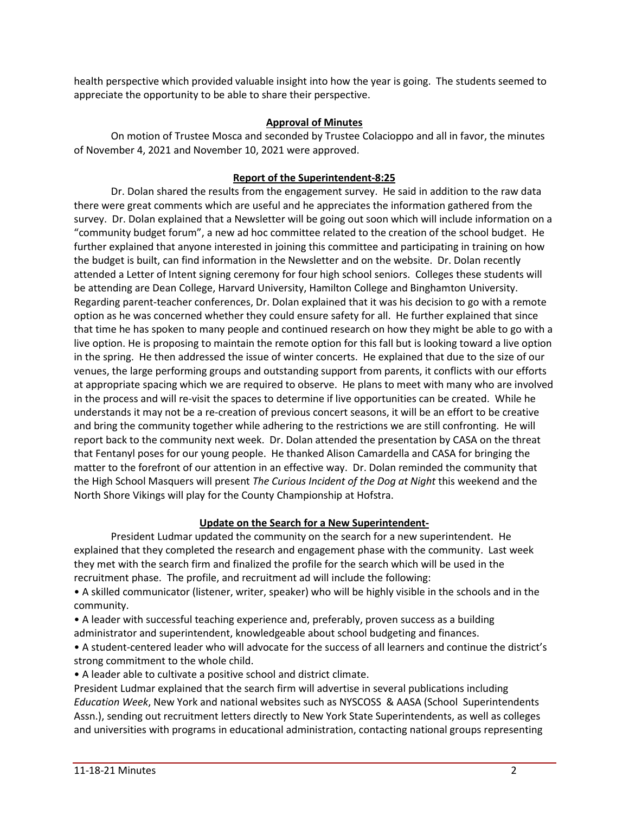health perspective which provided valuable insight into how the year is going. The students seemed to appreciate the opportunity to be able to share their perspective.

#### **Approval of Minutes**

On motion of Trustee Mosca and seconded by Trustee Colacioppo and all in favor, the minutes of November 4, 2021 and November 10, 2021 were approved.

### **Report of the Superintendent-8:25**

Dr. Dolan shared the results from the engagement survey. He said in addition to the raw data there were great comments which are useful and he appreciates the information gathered from the survey. Dr. Dolan explained that a Newsletter will be going out soon which will include information on a "community budget forum", a new ad hoc committee related to the creation of the school budget. He further explained that anyone interested in joining this committee and participating in training on how the budget is built, can find information in the Newsletter and on the website. Dr. Dolan recently attended a Letter of Intent signing ceremony for four high school seniors. Colleges these students will be attending are Dean College, Harvard University, Hamilton College and Binghamton University. Regarding parent-teacher conferences, Dr. Dolan explained that it was his decision to go with a remote option as he was concerned whether they could ensure safety for all. He further explained that since that time he has spoken to many people and continued research on how they might be able to go with a live option. He is proposing to maintain the remote option for this fall but is looking toward a live option in the spring. He then addressed the issue of winter concerts. He explained that due to the size of our venues, the large performing groups and outstanding support from parents, it conflicts with our efforts at appropriate spacing which we are required to observe. He plans to meet with many who are involved in the process and will re-visit the spaces to determine if live opportunities can be created. While he understands it may not be a re-creation of previous concert seasons, it will be an effort to be creative and bring the community together while adhering to the restrictions we are still confronting. He will report back to the community next week. Dr. Dolan attended the presentation by CASA on the threat that Fentanyl poses for our young people. He thanked Alison Camardella and CASA for bringing the matter to the forefront of our attention in an effective way. Dr. Dolan reminded the community that the High School Masquers will present *The Curious Incident of the Dog at Night* this weekend and the North Shore Vikings will play for the County Championship at Hofstra.

# **Update on the Search for a New Superintendent-**

President Ludmar updated the community on the search for a new superintendent. He explained that they completed the research and engagement phase with the community. Last week they met with the search firm and finalized the profile for the search which will be used in the recruitment phase. The profile, and recruitment ad will include the following:

• A skilled communicator (listener, writer, speaker) who will be highly visible in the schools and in the community.

• A leader with successful teaching experience and, preferably, proven success as a building administrator and superintendent, knowledgeable about school budgeting and finances.

• A student-centered leader who will advocate for the success of all learners and continue the district's strong commitment to the whole child.

• A leader able to cultivate a positive school and district climate.

President Ludmar explained that the search firm will advertise in several publications including *Education Week*, New York and national websites such as NYSCOSS & AASA (School Superintendents Assn.), sending out recruitment letters directly to New York State Superintendents, as well as colleges and universities with programs in educational administration, contacting national groups representing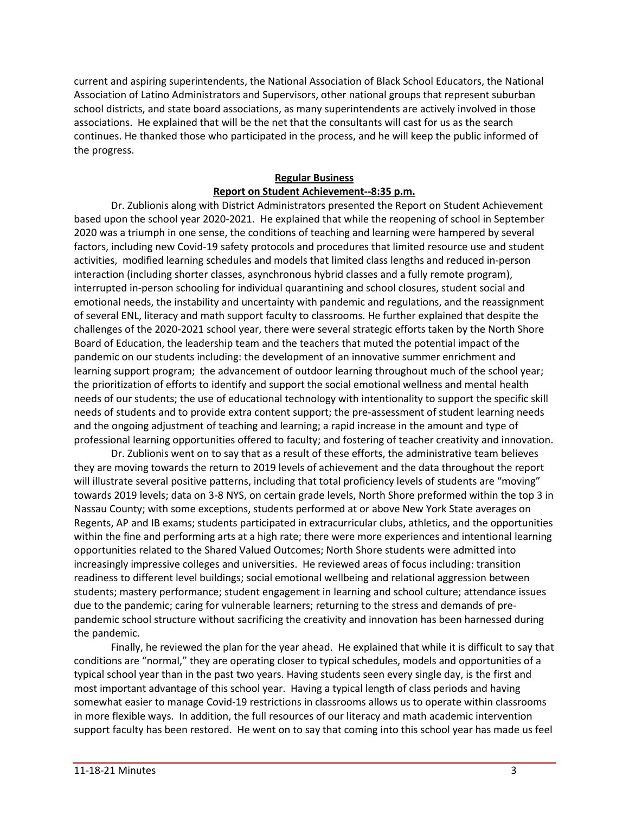current and aspiring superintendents, the National Association of Black School Educators, the National Association of Latino Administrators and Supervisors, other national groups that represent suburban school districts, and state board associations, as many superintendents are actively involved in those associations. He explained that will be the net that the consultants will cast for us as the search continues. He thanked those who participated in the process, and he will keep the public informed of the progress.

# **Regular Business Report on Student Achievement--8:35 p.m.**

Dr. Zublionis along with District Administrators presented the Report on Student Achievement based upon the school year 2020-2021. He explained that while the reopening of school in September 2020 was a triumph in one sense, the conditions of teaching and learning were hampered by several factors, including new Covid-19 safety protocols and procedures that limited resource use and student activities, modified learning schedules and models that limited class lengths and reduced in-person interaction (including shorter classes, asynchronous hybrid classes and a fully remote program), interrupted in-person schooling for individual quarantining and school closures, student social and emotional needs, the instability and uncertainty with pandemic and regulations, and the reassignment of several ENL, literacy and math support faculty to classrooms. He further explained that despite the challenges of the 2020-2021 school year, there were several strategic efforts taken by the North Shore Board of Education, the leadership team and the teachers that muted the potential impact of the pandemic on our students including: the development of an innovative summer enrichment and learning support program; the advancement of outdoor learning throughout much of the school year; the prioritization of efforts to identify and support the social emotional wellness and mental health needs of our students; the use of educational technology with intentionality to support the specific skill needs of students and to provide extra content support; the pre-assessment of student learning needs and the ongoing adjustment of teaching and learning; a rapid increase in the amount and type of professional learning opportunities offered to faculty; and fostering of teacher creativity and innovation.

Dr. Zublionis went on to say that as a result of these efforts, the administrative team believes they are moving towards the return to 2019 levels of achievement and the data throughout the report will illustrate several positive patterns, including that total proficiency levels of students are "moving" towards 2019 levels; data on 3-8 NYS, on certain grade levels, North Shore preformed within the top 3 in Nassau County; with some exceptions, students performed at or above New York State averages on Regents, AP and IB exams; students participated in extracurricular clubs, athletics, and the opportunities within the fine and performing arts at a high rate; there were more experiences and intentional learning opportunities related to the Shared Valued Outcomes; North Shore students were admitted into increasingly impressive colleges and universities. He reviewed areas of focus including: transition readiness to different level buildings; social emotional wellbeing and relational aggression between students; mastery performance; student engagement in learning and school culture; attendance issues due to the pandemic; caring for vulnerable learners; returning to the stress and demands of prepandemic school structure without sacrificing the creativity and innovation has been harnessed during the pandemic.

Finally, he reviewed the plan for the year ahead. He explained that while it is difficult to say that conditions are "normal," they are operating closer to typical schedules, models and opportunities of a typical school year than in the past two years. Having students seen every single day, is the first and most important advantage of this school year. Having a typical length of class periods and having somewhat easier to manage Covid-19 restrictions in classrooms allows us to operate within classrooms in more flexible ways. In addition, the full resources of our literacy and math academic intervention support faculty has been restored. He went on to say that coming into this school year has made us feel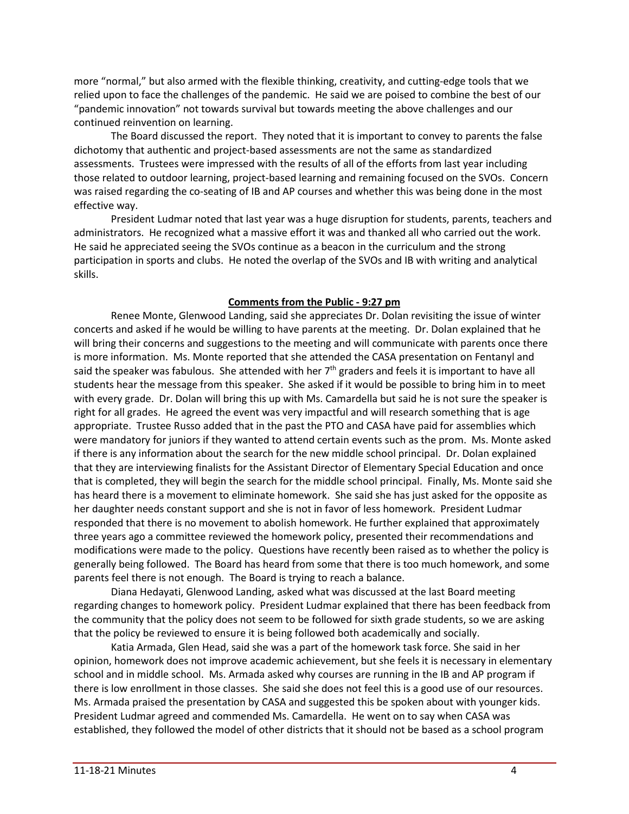more "normal," but also armed with the flexible thinking, creativity, and cutting-edge tools that we relied upon to face the challenges of the pandemic. He said we are poised to combine the best of our "pandemic innovation" not towards survival but towards meeting the above challenges and our continued reinvention on learning.

The Board discussed the report. They noted that it is important to convey to parents the false dichotomy that authentic and project-based assessments are not the same as standardized assessments. Trustees were impressed with the results of all of the efforts from last year including those related to outdoor learning, project-based learning and remaining focused on the SVOs. Concern was raised regarding the co-seating of IB and AP courses and whether this was being done in the most effective way.

President Ludmar noted that last year was a huge disruption for students, parents, teachers and administrators. He recognized what a massive effort it was and thanked all who carried out the work. He said he appreciated seeing the SVOs continue as a beacon in the curriculum and the strong participation in sports and clubs. He noted the overlap of the SVOs and IB with writing and analytical skills.

### **Comments from the Public - 9:27 pm**

Renee Monte, Glenwood Landing, said she appreciates Dr. Dolan revisiting the issue of winter concerts and asked if he would be willing to have parents at the meeting. Dr. Dolan explained that he will bring their concerns and suggestions to the meeting and will communicate with parents once there is more information. Ms. Monte reported that she attended the CASA presentation on Fentanyl and said the speaker was fabulous. She attended with her  $7<sup>th</sup>$  graders and feels it is important to have all students hear the message from this speaker. She asked if it would be possible to bring him in to meet with every grade. Dr. Dolan will bring this up with Ms. Camardella but said he is not sure the speaker is right for all grades. He agreed the event was very impactful and will research something that is age appropriate. Trustee Russo added that in the past the PTO and CASA have paid for assemblies which were mandatory for juniors if they wanted to attend certain events such as the prom. Ms. Monte asked if there is any information about the search for the new middle school principal. Dr. Dolan explained that they are interviewing finalists for the Assistant Director of Elementary Special Education and once that is completed, they will begin the search for the middle school principal. Finally, Ms. Monte said she has heard there is a movement to eliminate homework. She said she has just asked for the opposite as her daughter needs constant support and she is not in favor of less homework. President Ludmar responded that there is no movement to abolish homework. He further explained that approximately three years ago a committee reviewed the homework policy, presented their recommendations and modifications were made to the policy. Questions have recently been raised as to whether the policy is generally being followed. The Board has heard from some that there is too much homework, and some parents feel there is not enough. The Board is trying to reach a balance.

Diana Hedayati, Glenwood Landing, asked what was discussed at the last Board meeting regarding changes to homework policy. President Ludmar explained that there has been feedback from the community that the policy does not seem to be followed for sixth grade students, so we are asking that the policy be reviewed to ensure it is being followed both academically and socially.

Katia Armada, Glen Head, said she was a part of the homework task force. She said in her opinion, homework does not improve academic achievement, but she feels it is necessary in elementary school and in middle school. Ms. Armada asked why courses are running in the IB and AP program if there is low enrollment in those classes. She said she does not feel this is a good use of our resources. Ms. Armada praised the presentation by CASA and suggested this be spoken about with younger kids. President Ludmar agreed and commended Ms. Camardella. He went on to say when CASA was established, they followed the model of other districts that it should not be based as a school program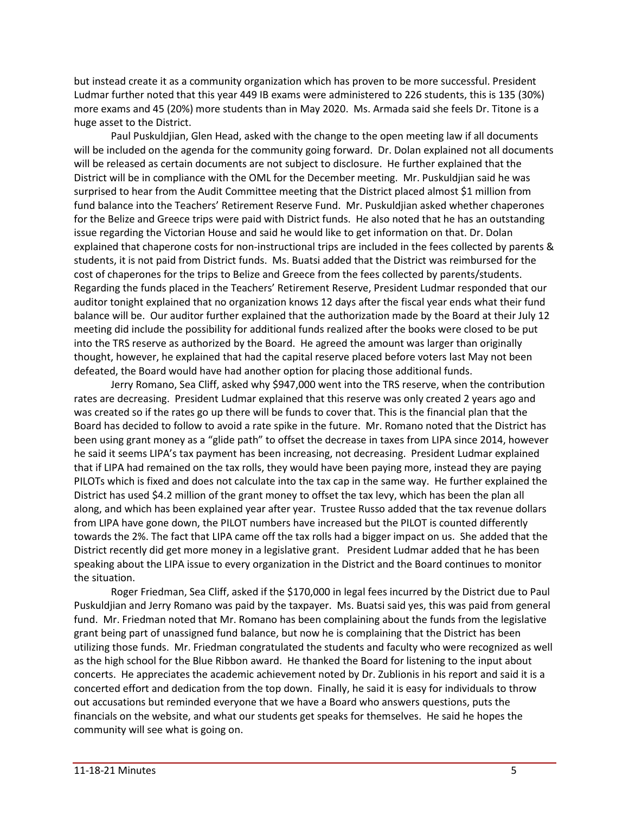but instead create it as a community organization which has proven to be more successful. President Ludmar further noted that this year 449 IB exams were administered to 226 students, this is 135 (30%) more exams and 45 (20%) more students than in May 2020. Ms. Armada said she feels Dr. Titone is a huge asset to the District.

Paul Puskuldjian, Glen Head, asked with the change to the open meeting law if all documents will be included on the agenda for the community going forward. Dr. Dolan explained not all documents will be released as certain documents are not subject to disclosure. He further explained that the District will be in compliance with the OML for the December meeting. Mr. Puskuldjian said he was surprised to hear from the Audit Committee meeting that the District placed almost \$1 million from fund balance into the Teachers' Retirement Reserve Fund. Mr. Puskuldjian asked whether chaperones for the Belize and Greece trips were paid with District funds. He also noted that he has an outstanding issue regarding the Victorian House and said he would like to get information on that. Dr. Dolan explained that chaperone costs for non-instructional trips are included in the fees collected by parents & students, it is not paid from District funds. Ms. Buatsi added that the District was reimbursed for the cost of chaperones for the trips to Belize and Greece from the fees collected by parents/students. Regarding the funds placed in the Teachers' Retirement Reserve, President Ludmar responded that our auditor tonight explained that no organization knows 12 days after the fiscal year ends what their fund balance will be. Our auditor further explained that the authorization made by the Board at their July 12 meeting did include the possibility for additional funds realized after the books were closed to be put into the TRS reserve as authorized by the Board. He agreed the amount was larger than originally thought, however, he explained that had the capital reserve placed before voters last May not been defeated, the Board would have had another option for placing those additional funds.

Jerry Romano, Sea Cliff, asked why \$947,000 went into the TRS reserve, when the contribution rates are decreasing. President Ludmar explained that this reserve was only created 2 years ago and was created so if the rates go up there will be funds to cover that. This is the financial plan that the Board has decided to follow to avoid a rate spike in the future. Mr. Romano noted that the District has been using grant money as a "glide path" to offset the decrease in taxes from LIPA since 2014, however he said it seems LIPA's tax payment has been increasing, not decreasing. President Ludmar explained that if LIPA had remained on the tax rolls, they would have been paying more, instead they are paying PILOTs which is fixed and does not calculate into the tax cap in the same way. He further explained the District has used \$4.2 million of the grant money to offset the tax levy, which has been the plan all along, and which has been explained year after year. Trustee Russo added that the tax revenue dollars from LIPA have gone down, the PILOT numbers have increased but the PILOT is counted differently towards the 2%. The fact that LIPA came off the tax rolls had a bigger impact on us. She added that the District recently did get more money in a legislative grant. President Ludmar added that he has been speaking about the LIPA issue to every organization in the District and the Board continues to monitor the situation.

Roger Friedman, Sea Cliff, asked if the \$170,000 in legal fees incurred by the District due to Paul Puskuldjian and Jerry Romano was paid by the taxpayer. Ms. Buatsi said yes, this was paid from general fund. Mr. Friedman noted that Mr. Romano has been complaining about the funds from the legislative grant being part of unassigned fund balance, but now he is complaining that the District has been utilizing those funds. Mr. Friedman congratulated the students and faculty who were recognized as well as the high school for the Blue Ribbon award. He thanked the Board for listening to the input about concerts. He appreciates the academic achievement noted by Dr. Zublionis in his report and said it is a concerted effort and dedication from the top down. Finally, he said it is easy for individuals to throw out accusations but reminded everyone that we have a Board who answers questions, puts the financials on the website, and what our students get speaks for themselves. He said he hopes the community will see what is going on.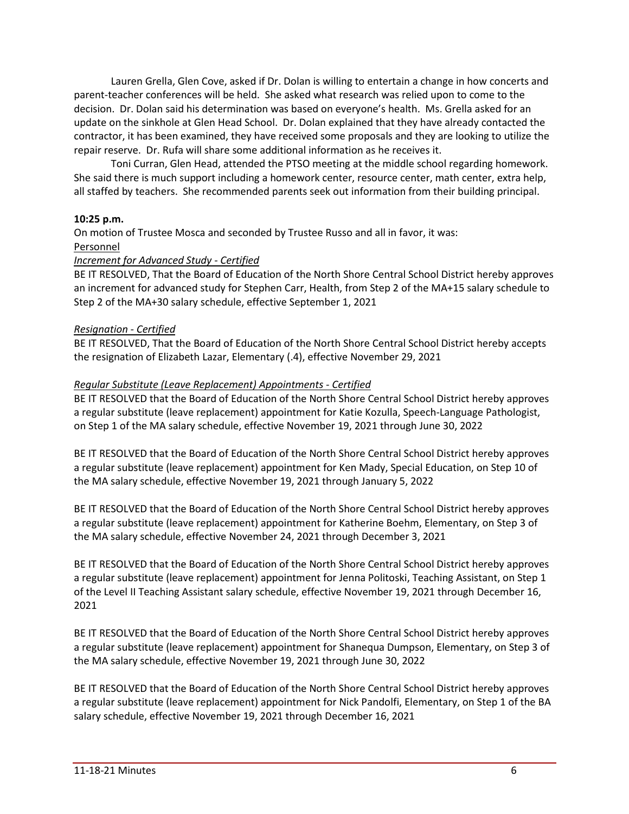Lauren Grella, Glen Cove, asked if Dr. Dolan is willing to entertain a change in how concerts and parent-teacher conferences will be held. She asked what research was relied upon to come to the decision. Dr. Dolan said his determination was based on everyone's health. Ms. Grella asked for an update on the sinkhole at Glen Head School. Dr. Dolan explained that they have already contacted the contractor, it has been examined, they have received some proposals and they are looking to utilize the repair reserve. Dr. Rufa will share some additional information as he receives it.

Toni Curran, Glen Head, attended the PTSO meeting at the middle school regarding homework. She said there is much support including a homework center, resource center, math center, extra help, all staffed by teachers. She recommended parents seek out information from their building principal.

### **10:25 p.m.**

On motion of Trustee Mosca and seconded by Trustee Russo and all in favor, it was:

### Personnel

### *Increment for Advanced Study - Certified*

BE IT RESOLVED, That the Board of Education of the North Shore Central School District hereby approves an increment for advanced study for Stephen Carr, Health, from Step 2 of the MA+15 salary schedule to Step 2 of the MA+30 salary schedule, effective September 1, 2021

### *Resignation - Certified*

BE IT RESOLVED, That the Board of Education of the North Shore Central School District hereby accepts the resignation of Elizabeth Lazar, Elementary (.4), effective November 29, 2021

### *Regular Substitute (Leave Replacement) Appointments - Certified*

BE IT RESOLVED that the Board of Education of the North Shore Central School District hereby approves a regular substitute (leave replacement) appointment for Katie Kozulla, Speech-Language Pathologist, on Step 1 of the MA salary schedule, effective November 19, 2021 through June 30, 2022

BE IT RESOLVED that the Board of Education of the North Shore Central School District hereby approves a regular substitute (leave replacement) appointment for Ken Mady, Special Education, on Step 10 of the MA salary schedule, effective November 19, 2021 through January 5, 2022

BE IT RESOLVED that the Board of Education of the North Shore Central School District hereby approves a regular substitute (leave replacement) appointment for Katherine Boehm, Elementary, on Step 3 of the MA salary schedule, effective November 24, 2021 through December 3, 2021

BE IT RESOLVED that the Board of Education of the North Shore Central School District hereby approves a regular substitute (leave replacement) appointment for Jenna Politoski, Teaching Assistant, on Step 1 of the Level II Teaching Assistant salary schedule, effective November 19, 2021 through December 16, 2021

BE IT RESOLVED that the Board of Education of the North Shore Central School District hereby approves a regular substitute (leave replacement) appointment for Shanequa Dumpson, Elementary, on Step 3 of the MA salary schedule, effective November 19, 2021 through June 30, 2022

BE IT RESOLVED that the Board of Education of the North Shore Central School District hereby approves a regular substitute (leave replacement) appointment for Nick Pandolfi, Elementary, on Step 1 of the BA salary schedule, effective November 19, 2021 through December 16, 2021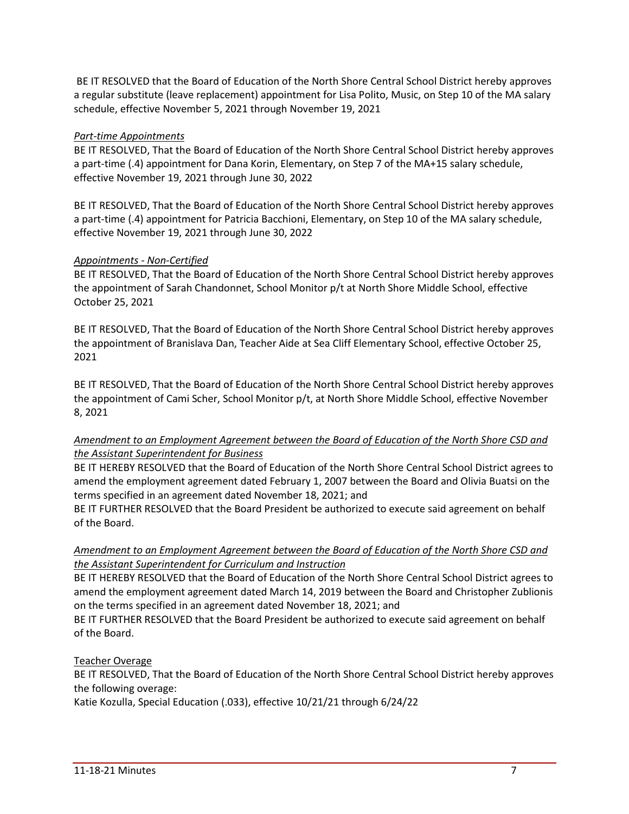BE IT RESOLVED that the Board of Education of the North Shore Central School District hereby approves a regular substitute (leave replacement) appointment for Lisa Polito, Music, on Step 10 of the MA salary schedule, effective November 5, 2021 through November 19, 2021

### *Part-time Appointments*

BE IT RESOLVED, That the Board of Education of the North Shore Central School District hereby approves a part-time (.4) appointment for Dana Korin, Elementary, on Step 7 of the MA+15 salary schedule, effective November 19, 2021 through June 30, 2022

BE IT RESOLVED, That the Board of Education of the North Shore Central School District hereby approves a part-time (.4) appointment for Patricia Bacchioni, Elementary, on Step 10 of the MA salary schedule, effective November 19, 2021 through June 30, 2022

## *Appointments - Non-Certified*

BE IT RESOLVED, That the Board of Education of the North Shore Central School District hereby approves the appointment of Sarah Chandonnet, School Monitor p/t at North Shore Middle School, effective October 25, 2021

BE IT RESOLVED, That the Board of Education of the North Shore Central School District hereby approves the appointment of Branislava Dan, Teacher Aide at Sea Cliff Elementary School, effective October 25, 2021

BE IT RESOLVED, That the Board of Education of the North Shore Central School District hereby approves the appointment of Cami Scher, School Monitor p/t, at North Shore Middle School, effective November 8, 2021

# *Amendment to an Employment Agreement between the Board of Education of the North Shore CSD and the Assistant Superintendent for Business*

BE IT HEREBY RESOLVED that the Board of Education of the North Shore Central School District agrees to amend the employment agreement dated February 1, 2007 between the Board and Olivia Buatsi on the terms specified in an agreement dated November 18, 2021; and

BE IT FURTHER RESOLVED that the Board President be authorized to execute said agreement on behalf of the Board.

# *Amendment to an Employment Agreement between the Board of Education of the North Shore CSD and the Assistant Superintendent for Curriculum and Instruction*

BE IT HEREBY RESOLVED that the Board of Education of the North Shore Central School District agrees to amend the employment agreement dated March 14, 2019 between the Board and Christopher Zublionis on the terms specified in an agreement dated November 18, 2021; and

BE IT FURTHER RESOLVED that the Board President be authorized to execute said agreement on behalf of the Board.

# Teacher Overage

BE IT RESOLVED, That the Board of Education of the North Shore Central School District hereby approves the following overage:

Katie Kozulla, Special Education (.033), effective 10/21/21 through 6/24/22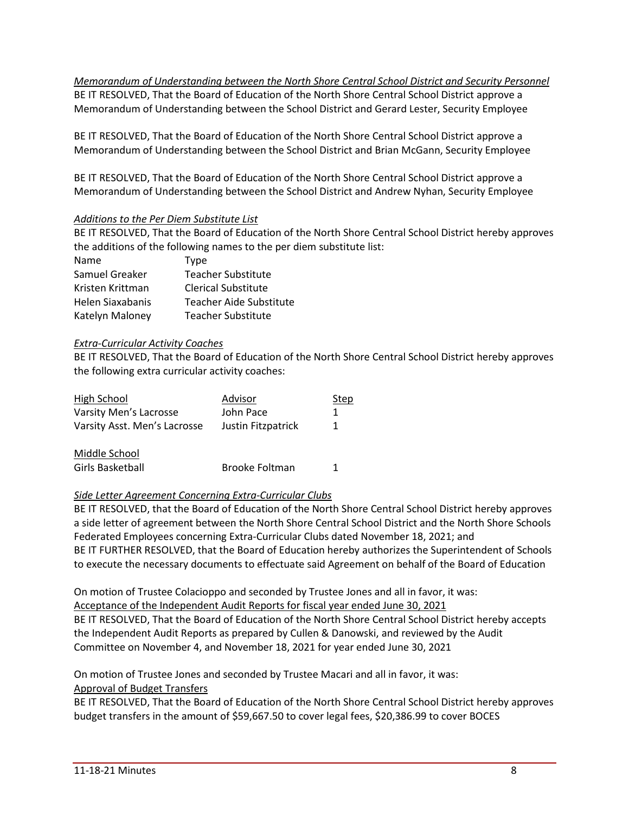*Memorandum of Understanding between the North Shore Central School District and Security Personnel* BE IT RESOLVED, That the Board of Education of the North Shore Central School District approve a Memorandum of Understanding between the School District and Gerard Lester, Security Employee

BE IT RESOLVED, That the Board of Education of the North Shore Central School District approve a Memorandum of Understanding between the School District and Brian McGann, Security Employee

BE IT RESOLVED, That the Board of Education of the North Shore Central School District approve a Memorandum of Understanding between the School District and Andrew Nyhan, Security Employee

## *Additions to the Per Diem Substitute List*

BE IT RESOLVED, That the Board of Education of the North Shore Central School District hereby approves the additions of the following names to the per diem substitute list:

| Name             | <b>Type</b>                    |
|------------------|--------------------------------|
| Samuel Greaker   | <b>Teacher Substitute</b>      |
| Kristen Krittman | Clerical Substitute            |
| Helen Siaxabanis | <b>Teacher Aide Substitute</b> |
| Katelyn Maloney  | Teacher Substitute             |

## *Extra-Curricular Activity Coaches*

BE IT RESOLVED, That the Board of Education of the North Shore Central School District hereby approves the following extra curricular activity coaches:

| High School                  | Advisor               | Step |
|------------------------------|-----------------------|------|
| Varsity Men's Lacrosse       | John Pace             | 1    |
| Varsity Asst. Men's Lacrosse | Justin Fitzpatrick    | 1.   |
| Middle School                |                       |      |
| Girls Basketball             | <b>Brooke Foltman</b> |      |

# *Side Letter Agreement Concerning Extra-Curricular Clubs*

BE IT RESOLVED, that the Board of Education of the North Shore Central School District hereby approves a side letter of agreement between the North Shore Central School District and the North Shore Schools Federated Employees concerning Extra-Curricular Clubs dated November 18, 2021; and BE IT FURTHER RESOLVED, that the Board of Education hereby authorizes the Superintendent of Schools to execute the necessary documents to effectuate said Agreement on behalf of the Board of Education

On motion of Trustee Colacioppo and seconded by Trustee Jones and all in favor, it was: Acceptance of the Independent Audit Reports for fiscal year ended June 30, 2021

BE IT RESOLVED, That the Board of Education of the North Shore Central School District hereby accepts the Independent Audit Reports as prepared by Cullen & Danowski, and reviewed by the Audit Committee on November 4, and November 18, 2021 for year ended June 30, 2021

On motion of Trustee Jones and seconded by Trustee Macari and all in favor, it was: Approval of Budget Transfers

BE IT RESOLVED, That the Board of Education of the North Shore Central School District hereby approves budget transfers in the amount of \$59,667.50 to cover legal fees, \$20,386.99 to cover BOCES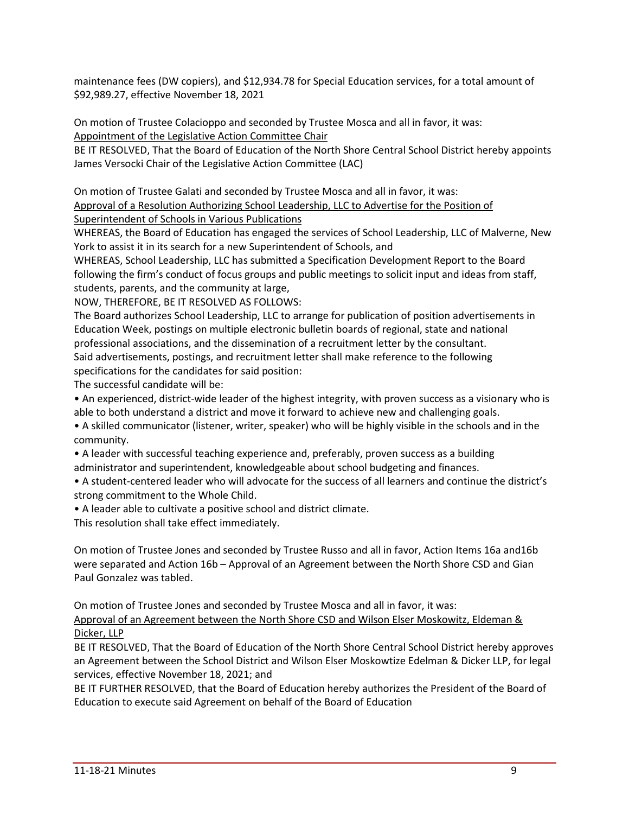maintenance fees (DW copiers), and \$12,934.78 for Special Education services, for a total amount of \$92,989.27, effective November 18, 2021

On motion of Trustee Colacioppo and seconded by Trustee Mosca and all in favor, it was: Appointment of the Legislative Action Committee Chair

BE IT RESOLVED, That the Board of Education of the North Shore Central School District hereby appoints James Versocki Chair of the Legislative Action Committee (LAC)

On motion of Trustee Galati and seconded by Trustee Mosca and all in favor, it was: Approval of a Resolution Authorizing School Leadership, LLC to Advertise for the Position of Superintendent of Schools in Various Publications

WHEREAS, the Board of Education has engaged the services of School Leadership, LLC of Malverne, New York to assist it in its search for a new Superintendent of Schools, and

WHEREAS, School Leadership, LLC has submitted a Specification Development Report to the Board following the firm's conduct of focus groups and public meetings to solicit input and ideas from staff, students, parents, and the community at large,

NOW, THEREFORE, BE IT RESOLVED AS FOLLOWS:

The Board authorizes School Leadership, LLC to arrange for publication of position advertisements in Education Week, postings on multiple electronic bulletin boards of regional, state and national professional associations, and the dissemination of a recruitment letter by the consultant. Said advertisements, postings, and recruitment letter shall make reference to the following specifications for the candidates for said position:

The successful candidate will be:

• An experienced, district-wide leader of the highest integrity, with proven success as a visionary who is able to both understand a district and move it forward to achieve new and challenging goals.

• A skilled communicator (listener, writer, speaker) who will be highly visible in the schools and in the community.

• A leader with successful teaching experience and, preferably, proven success as a building administrator and superintendent, knowledgeable about school budgeting and finances.

• A student-centered leader who will advocate for the success of all learners and continue the district's strong commitment to the Whole Child.

• A leader able to cultivate a positive school and district climate.

This resolution shall take effect immediately.

On motion of Trustee Jones and seconded by Trustee Russo and all in favor, Action Items 16a and16b were separated and Action 16b – Approval of an Agreement between the North Shore CSD and Gian Paul Gonzalez was tabled.

On motion of Trustee Jones and seconded by Trustee Mosca and all in favor, it was: Approval of an Agreement between the North Shore CSD and Wilson Elser Moskowitz, Eldeman & Dicker, LLP

BE IT RESOLVED, That the Board of Education of the North Shore Central School District hereby approves an Agreement between the School District and Wilson Elser Moskowtize Edelman & Dicker LLP, for legal services, effective November 18, 2021; and

BE IT FURTHER RESOLVED, that the Board of Education hereby authorizes the President of the Board of Education to execute said Agreement on behalf of the Board of Education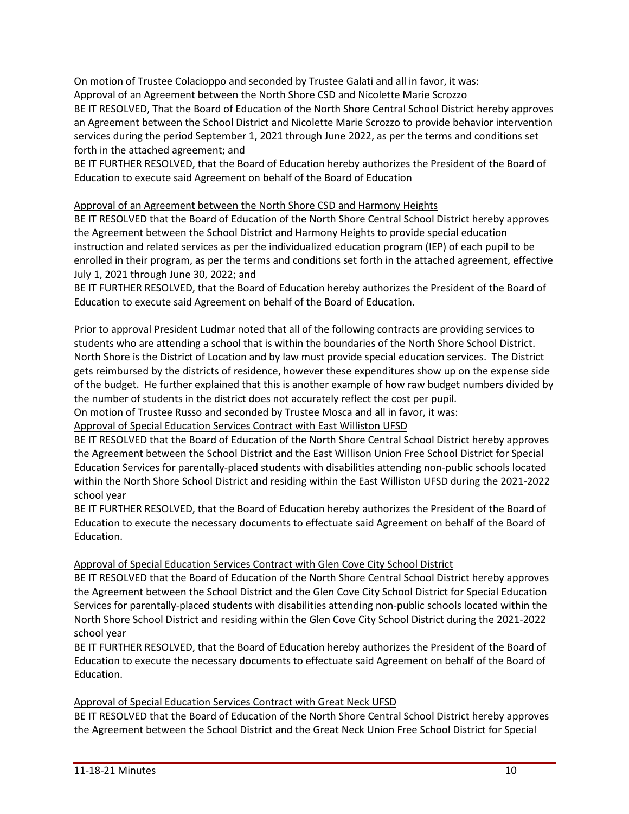On motion of Trustee Colacioppo and seconded by Trustee Galati and all in favor, it was: Approval of an Agreement between the North Shore CSD and Nicolette Marie Scrozzo

BE IT RESOLVED, That the Board of Education of the North Shore Central School District hereby approves an Agreement between the School District and Nicolette Marie Scrozzo to provide behavior intervention services during the period September 1, 2021 through June 2022, as per the terms and conditions set forth in the attached agreement; and

BE IT FURTHER RESOLVED, that the Board of Education hereby authorizes the President of the Board of Education to execute said Agreement on behalf of the Board of Education

Approval of an Agreement between the North Shore CSD and Harmony Heights

BE IT RESOLVED that the Board of Education of the North Shore Central School District hereby approves the Agreement between the School District and Harmony Heights to provide special education instruction and related services as per the individualized education program (IEP) of each pupil to be enrolled in their program, as per the terms and conditions set forth in the attached agreement, effective July 1, 2021 through June 30, 2022; and

BE IT FURTHER RESOLVED, that the Board of Education hereby authorizes the President of the Board of Education to execute said Agreement on behalf of the Board of Education.

Prior to approval President Ludmar noted that all of the following contracts are providing services to students who are attending a school that is within the boundaries of the North Shore School District. North Shore is the District of Location and by law must provide special education services. The District gets reimbursed by the districts of residence, however these expenditures show up on the expense side of the budget. He further explained that this is another example of how raw budget numbers divided by the number of students in the district does not accurately reflect the cost per pupil.

On motion of Trustee Russo and seconded by Trustee Mosca and all in favor, it was:

Approval of Special Education Services Contract with East Williston UFSD

BE IT RESOLVED that the Board of Education of the North Shore Central School District hereby approves the Agreement between the School District and the East Willison Union Free School District for Special Education Services for parentally-placed students with disabilities attending non-public schools located within the North Shore School District and residing within the East Williston UFSD during the 2021-2022 school year

BE IT FURTHER RESOLVED, that the Board of Education hereby authorizes the President of the Board of Education to execute the necessary documents to effectuate said Agreement on behalf of the Board of Education.

# Approval of Special Education Services Contract with Glen Cove City School District

BE IT RESOLVED that the Board of Education of the North Shore Central School District hereby approves the Agreement between the School District and the Glen Cove City School District for Special Education Services for parentally-placed students with disabilities attending non-public schools located within the North Shore School District and residing within the Glen Cove City School District during the 2021-2022 school year

BE IT FURTHER RESOLVED, that the Board of Education hereby authorizes the President of the Board of Education to execute the necessary documents to effectuate said Agreement on behalf of the Board of Education.

# Approval of Special Education Services Contract with Great Neck UFSD

BE IT RESOLVED that the Board of Education of the North Shore Central School District hereby approves the Agreement between the School District and the Great Neck Union Free School District for Special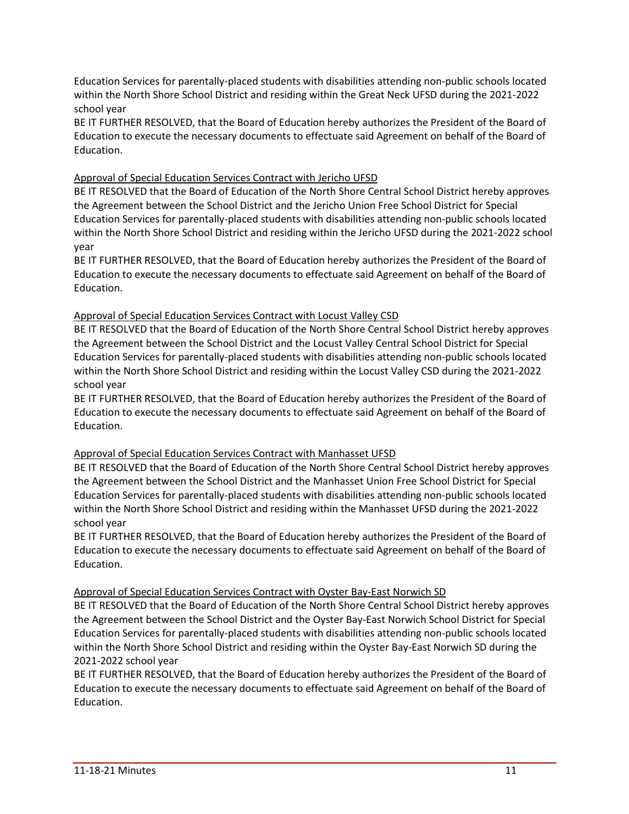Education Services for parentally-placed students with disabilities attending non-public schools located within the North Shore School District and residing within the Great Neck UFSD during the 2021-2022 school year

BE IT FURTHER RESOLVED, that the Board of Education hereby authorizes the President of the Board of Education to execute the necessary documents to effectuate said Agreement on behalf of the Board of Education.

## Approval of Special Education Services Contract with Jericho UFSD

BE IT RESOLVED that the Board of Education of the North Shore Central School District hereby approves the Agreement between the School District and the Jericho Union Free School District for Special Education Services for parentally-placed students with disabilities attending non-public schools located within the North Shore School District and residing within the Jericho UFSD during the 2021-2022 school year

BE IT FURTHER RESOLVED, that the Board of Education hereby authorizes the President of the Board of Education to execute the necessary documents to effectuate said Agreement on behalf of the Board of Education.

## Approval of Special Education Services Contract with Locust Valley CSD

BE IT RESOLVED that the Board of Education of the North Shore Central School District hereby approves the Agreement between the School District and the Locust Valley Central School District for Special Education Services for parentally-placed students with disabilities attending non-public schools located within the North Shore School District and residing within the Locust Valley CSD during the 2021-2022 school year

BE IT FURTHER RESOLVED, that the Board of Education hereby authorizes the President of the Board of Education to execute the necessary documents to effectuate said Agreement on behalf of the Board of Education.

### Approval of Special Education Services Contract with Manhasset UFSD

BE IT RESOLVED that the Board of Education of the North Shore Central School District hereby approves the Agreement between the School District and the Manhasset Union Free School District for Special Education Services for parentally-placed students with disabilities attending non-public schools located within the North Shore School District and residing within the Manhasset UFSD during the 2021-2022 school year

BE IT FURTHER RESOLVED, that the Board of Education hereby authorizes the President of the Board of Education to execute the necessary documents to effectuate said Agreement on behalf of the Board of Education.

### Approval of Special Education Services Contract with Oyster Bay-East Norwich SD

BE IT RESOLVED that the Board of Education of the North Shore Central School District hereby approves the Agreement between the School District and the Oyster Bay-East Norwich School District for Special Education Services for parentally-placed students with disabilities attending non-public schools located within the North Shore School District and residing within the Oyster Bay-East Norwich SD during the 2021-2022 school year

BE IT FURTHER RESOLVED, that the Board of Education hereby authorizes the President of the Board of Education to execute the necessary documents to effectuate said Agreement on behalf of the Board of Education.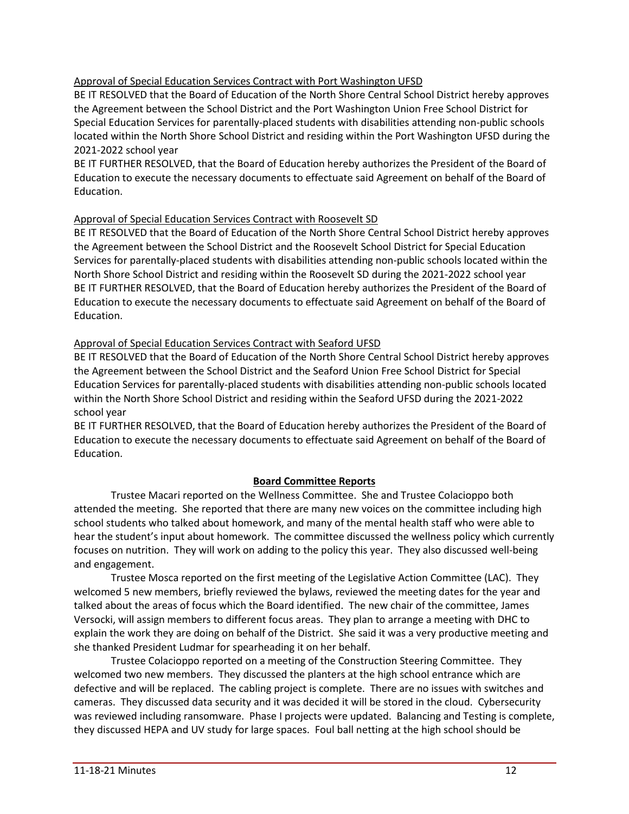## Approval of Special Education Services Contract with Port Washington UFSD

BE IT RESOLVED that the Board of Education of the North Shore Central School District hereby approves the Agreement between the School District and the Port Washington Union Free School District for Special Education Services for parentally-placed students with disabilities attending non-public schools located within the North Shore School District and residing within the Port Washington UFSD during the 2021-2022 school year

BE IT FURTHER RESOLVED, that the Board of Education hereby authorizes the President of the Board of Education to execute the necessary documents to effectuate said Agreement on behalf of the Board of Education.

## Approval of Special Education Services Contract with Roosevelt SD

BE IT RESOLVED that the Board of Education of the North Shore Central School District hereby approves the Agreement between the School District and the Roosevelt School District for Special Education Services for parentally-placed students with disabilities attending non-public schools located within the North Shore School District and residing within the Roosevelt SD during the 2021-2022 school year BE IT FURTHER RESOLVED, that the Board of Education hereby authorizes the President of the Board of Education to execute the necessary documents to effectuate said Agreement on behalf of the Board of Education.

## Approval of Special Education Services Contract with Seaford UFSD

BE IT RESOLVED that the Board of Education of the North Shore Central School District hereby approves the Agreement between the School District and the Seaford Union Free School District for Special Education Services for parentally-placed students with disabilities attending non-public schools located within the North Shore School District and residing within the Seaford UFSD during the 2021-2022 school year

BE IT FURTHER RESOLVED, that the Board of Education hereby authorizes the President of the Board of Education to execute the necessary documents to effectuate said Agreement on behalf of the Board of Education.

# **Board Committee Reports**

Trustee Macari reported on the Wellness Committee. She and Trustee Colacioppo both attended the meeting. She reported that there are many new voices on the committee including high school students who talked about homework, and many of the mental health staff who were able to hear the student's input about homework. The committee discussed the wellness policy which currently focuses on nutrition. They will work on adding to the policy this year. They also discussed well-being and engagement.

Trustee Mosca reported on the first meeting of the Legislative Action Committee (LAC). They welcomed 5 new members, briefly reviewed the bylaws, reviewed the meeting dates for the year and talked about the areas of focus which the Board identified. The new chair of the committee, James Versocki, will assign members to different focus areas. They plan to arrange a meeting with DHC to explain the work they are doing on behalf of the District. She said it was a very productive meeting and she thanked President Ludmar for spearheading it on her behalf.

Trustee Colacioppo reported on a meeting of the Construction Steering Committee. They welcomed two new members. They discussed the planters at the high school entrance which are defective and will be replaced. The cabling project is complete. There are no issues with switches and cameras. They discussed data security and it was decided it will be stored in the cloud. Cybersecurity was reviewed including ransomware. Phase I projects were updated. Balancing and Testing is complete, they discussed HEPA and UV study for large spaces. Foul ball netting at the high school should be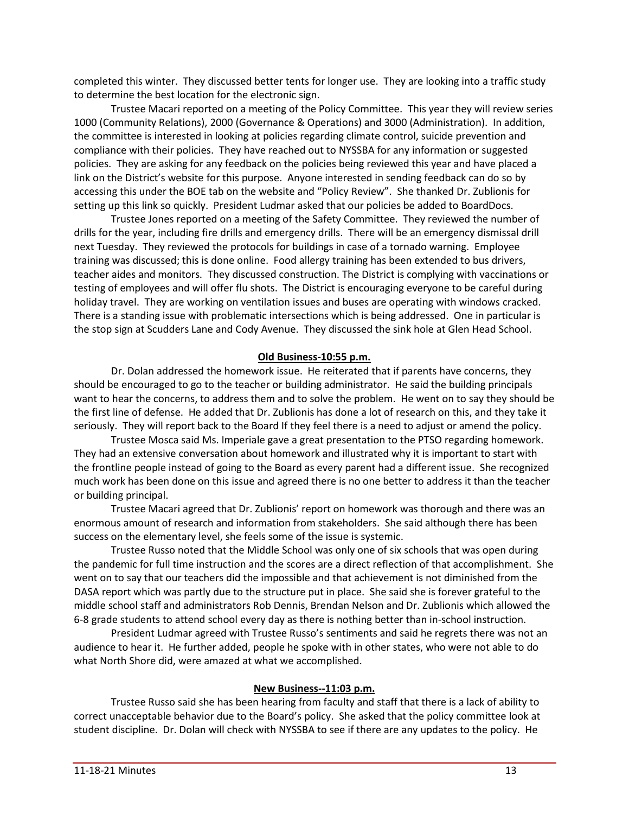completed this winter. They discussed better tents for longer use. They are looking into a traffic study to determine the best location for the electronic sign.

Trustee Macari reported on a meeting of the Policy Committee. This year they will review series 1000 (Community Relations), 2000 (Governance & Operations) and 3000 (Administration). In addition, the committee is interested in looking at policies regarding climate control, suicide prevention and compliance with their policies. They have reached out to NYSSBA for any information or suggested policies. They are asking for any feedback on the policies being reviewed this year and have placed a link on the District's website for this purpose. Anyone interested in sending feedback can do so by accessing this under the BOE tab on the website and "Policy Review". She thanked Dr. Zublionis for setting up this link so quickly. President Ludmar asked that our policies be added to BoardDocs.

Trustee Jones reported on a meeting of the Safety Committee. They reviewed the number of drills for the year, including fire drills and emergency drills. There will be an emergency dismissal drill next Tuesday. They reviewed the protocols for buildings in case of a tornado warning. Employee training was discussed; this is done online. Food allergy training has been extended to bus drivers, teacher aides and monitors. They discussed construction. The District is complying with vaccinations or testing of employees and will offer flu shots. The District is encouraging everyone to be careful during holiday travel. They are working on ventilation issues and buses are operating with windows cracked. There is a standing issue with problematic intersections which is being addressed. One in particular is the stop sign at Scudders Lane and Cody Avenue. They discussed the sink hole at Glen Head School.

### **Old Business-10:55 p.m.**

Dr. Dolan addressed the homework issue. He reiterated that if parents have concerns, they should be encouraged to go to the teacher or building administrator. He said the building principals want to hear the concerns, to address them and to solve the problem. He went on to say they should be the first line of defense. He added that Dr. Zublionis has done a lot of research on this, and they take it seriously. They will report back to the Board If they feel there is a need to adjust or amend the policy.

Trustee Mosca said Ms. Imperiale gave a great presentation to the PTSO regarding homework. They had an extensive conversation about homework and illustrated why it is important to start with the frontline people instead of going to the Board as every parent had a different issue. She recognized much work has been done on this issue and agreed there is no one better to address it than the teacher or building principal.

Trustee Macari agreed that Dr. Zublionis' report on homework was thorough and there was an enormous amount of research and information from stakeholders. She said although there has been success on the elementary level, she feels some of the issue is systemic.

Trustee Russo noted that the Middle School was only one of six schools that was open during the pandemic for full time instruction and the scores are a direct reflection of that accomplishment. She went on to say that our teachers did the impossible and that achievement is not diminished from the DASA report which was partly due to the structure put in place. She said she is forever grateful to the middle school staff and administrators Rob Dennis, Brendan Nelson and Dr. Zublionis which allowed the 6-8 grade students to attend school every day as there is nothing better than in-school instruction.

President Ludmar agreed with Trustee Russo's sentiments and said he regrets there was not an audience to hear it. He further added, people he spoke with in other states, who were not able to do what North Shore did, were amazed at what we accomplished.

### **New Business--11:03 p.m.**

Trustee Russo said she has been hearing from faculty and staff that there is a lack of ability to correct unacceptable behavior due to the Board's policy. She asked that the policy committee look at student discipline. Dr. Dolan will check with NYSSBA to see if there are any updates to the policy. He